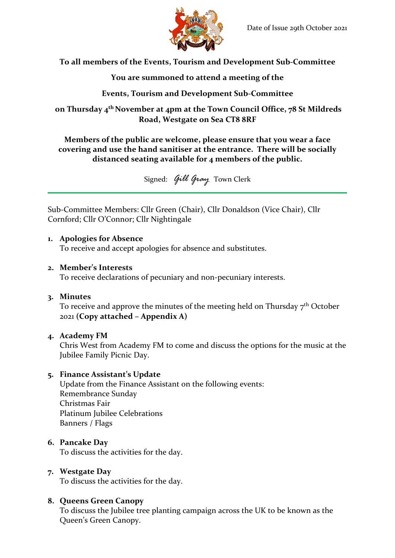

**To all members of the Events, Tourism and Development Sub-Committee**

## **You are summoned to attend a meeting of the**

## **Events, Tourism and Development Sub-Committee**

**on Thursday 4 th November at 4pm at the Town Council Office, 78 St Mildreds Road, Westgate on Sea CT8 8RF**

**Members of the public are welcome, please ensure that you wear a face covering and use the hand sanitiser at the entrance. There will be socially distanced seating available for 4 members of the public.** 

Signed: *Gill Gray* Town Clerk

Sub-Committee Members: Cllr Green (Chair), Cllr Donaldson (Vice Chair), Cllr Cornford; Cllr O'Connor; Cllr Nightingale

### **1. Apologies for Absence**

To receive and accept apologies for absence and substitutes.

### **2. Member's Interests**

To receive declarations of pecuniary and non-pecuniary interests.

### **3. Minutes**

To receive and approve the minutes of the meeting held on Thursday  $7<sup>th</sup>$  October 2021 **(Copy attached – Appendix A)**

## **4. Academy FM**

Chris West from Academy FM to come and discuss the options for the music at the Jubilee Family Picnic Day.

### **5. Finance Assistant's Update**

Update from the Finance Assistant on the following events: Remembrance Sunday Christmas Fair Platinum Jubilee Celebrations Banners / Flags

## **6. Pancake Day**

To discuss the activities for the day.

### **7. Westgate Day**

To discuss the activities for the day.

## **8. Queens Green Canopy**

To discuss the Jubilee tree planting campaign across the UK to be known as the Queen's Green Canopy.